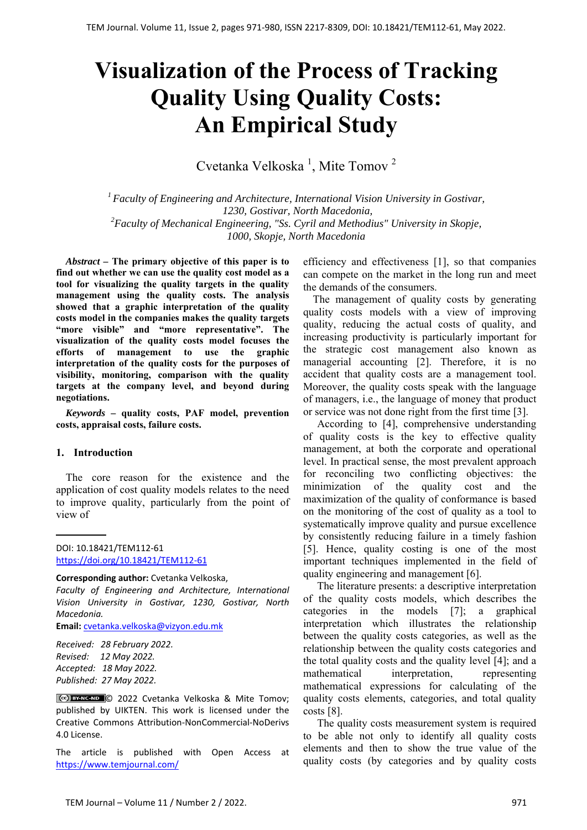# **Visualization of the Process of Tracking Quality Using Quality Costs: An Empirical Study**

Cvetanka Velkoska<sup>1</sup>, Mite Tomov<sup>2</sup>

*1 Faculty of Engineering and Architecture, International Vision University in Gostivar, 1230, Gostivar, North Macedonia, 2 Faculty of Mechanical Engineering, "Ss. Cyril and Methodius" University in Skopje, 1000, Skopje, North Macedonia* 

*Abstract –* **The primary objective of this paper is to find out whether we can use the quality cost model as a tool for visualizing the quality targets in the quality management using the quality costs. The analysis showed that a graphic interpretation of the quality costs model in the companies makes the quality targets "more visible" and "more representative". The visualization of the quality costs model focuses the efforts of management to use the graphic interpretation of the quality costs for the purposes of visibility, monitoring, comparison with the quality targets at the company level, and beyond during negotiations.** 

*Keywords –* **quality costs, PAF model, prevention costs, appraisal costs, failure costs.** 

### **1. Introduction**

The core reason for the existence and the application of cost quality models relates to the need to improve quality, particularly from the point of view of

DOI: 10.18421/TEM112-61 [https://doi.org/10.18421/TEM112](https://doi.org/10.18421/TEM112-61)-61

#### **Corresponding author:** Cvetanka Velkoska,

*Faculty of Engineering and Architecture, International Vision University in Gostivar, 1230, Gostivar, North Macedonia.* 

**Email:** cvetanka.velkoska@vizyon.edu.mk

*Received: 28 February 2022. Revised: 12 May 2022. Accepted: 18 May 2022. Published: 27 May 2022.* 

© 2022 Cvetanka Velkoska & Mite Tomov; published by UIKTEN. This work is licensed under the Creative Commons Attribution‐NonCommercial‐NoDerivs 4.0 License.

The article is published with Open Access at https://www.temjournal.com/

efficiency and effectiveness [1], so that companies can compete on the market in the long run and meet the demands of the consumers.

The management of quality costs by generating quality costs models with a view of improving quality, reducing the actual costs of quality, and increasing productivity is particularly important for the strategic cost management also known as managerial accounting [2]. Therefore, it is no accident that quality costs are a management tool. Moreover, the quality costs speak with the language of managers, i.e., the language of money that product or service was not done right from the first time [3].

According to [4], comprehensive understanding of quality costs is the key to effective quality management, at both the corporate and operational level. In practical sense, the most prevalent approach for reconciling two conflicting objectives: the minimization of the quality cost and the maximization of the quality of conformance is based on the monitoring of the cost of quality as a tool to systematically improve quality and pursue excellence by consistently reducing failure in a timely fashion [5]. Hence, quality costing is one of the most important techniques implemented in the field of quality engineering and management [6].

The literature presents: a descriptive interpretation of the quality costs models, which describes the categories in the models [7]; a graphical interpretation which illustrates the relationship between the quality costs categories, as well as the relationship between the quality costs categories and the total quality costs and the quality level [4]; and a mathematical interpretation, representing mathematical expressions for calculating of the quality costs elements, categories, and total quality costs [8].

The quality costs measurement system is required to be able not only to identify all quality costs elements and then to show the true value of the quality costs (by categories and by quality costs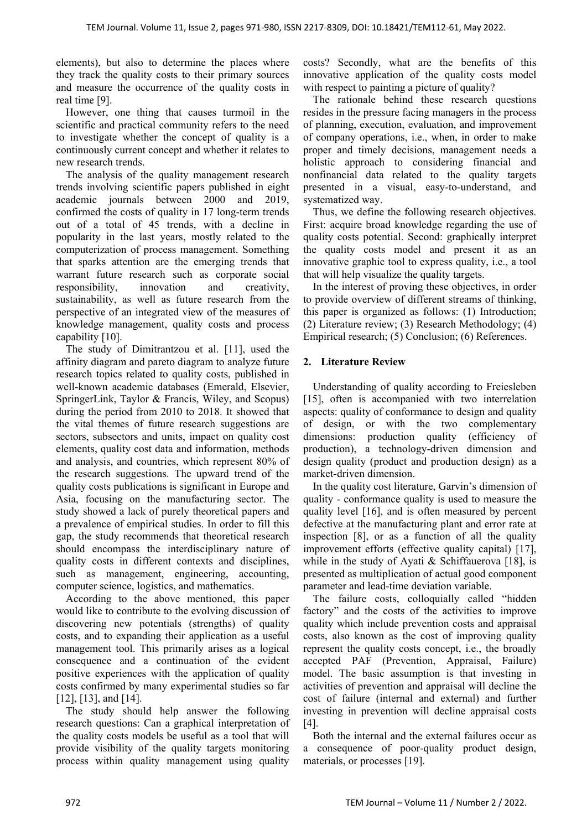elements), but also to determine the places where they track the quality costs to their primary sources and measure the occurrence of the quality costs in real time [9].

However, one thing that causes turmoil in the scientific and practical community refers to the need to investigate whether the concept of quality is a continuously current concept and whether it relates to new research trends.

The analysis of the quality management research trends involving scientific papers published in eight academic journals between 2000 and 2019, confirmed the costs of quality in 17 long-term trends out of a total of 45 trends, with a decline in popularity in the last years, mostly related to the computerization of process management. Something that sparks attention are the emerging trends that warrant future research such as corporate social responsibility, innovation and creativity, sustainability, as well as future research from the perspective of an integrated view of the measures of knowledge management, quality costs and process capability [10].

The study of Dimitrantzou et al. [11], used the affinity diagram and pareto diagram to analyze future research topics related to quality costs, published in well-known academic databases (Emerald, Elsevier, SpringerLink, Taylor & Francis, Wiley, and Scopus) during the period from 2010 to 2018. It showed that the vital themes of future research suggestions are sectors, subsectors and units, impact on quality cost elements, quality cost data and information, methods and analysis, and countries, which represent 80% of the research suggestions. The upward trend of the quality costs publications is significant in Europe and Asia, focusing on the manufacturing sector. The study showed а lack of purely theoretical papers and a prevalence of empirical studies. In order to fill this gap, the study recommends that theoretical research should encompass the interdisciplinary nature of quality costs in different contexts and disciplines, such as management, engineering, accounting, computer science, logistics, and mathematics.

According to the above mentioned, this paper would like to contribute to the evolving discussion of discovering new potentials (strengths) of quality costs, and to expanding their application as a useful management tool. This primarily arises as a logical consequence and a continuation of the evident positive experiences with the application of quality costs confirmed by many experimental studies so far [12], [13], and [14].

The study should help answer the following research questions: Can a graphical interpretation of the quality costs models be useful as a tool that will provide visibility of the quality targets monitoring process within quality management using quality

costs? Secondly, what are the benefits of this innovative application of the quality costs model with respect to painting a picture of quality?

The rationale behind these research questions resides in the pressure facing managers in the process of planning, execution, evaluation, and improvement of company operations, i.e., when, in order to make proper and timely decisions, management needs a holistic approach to considering financial and nonfinancial data related to the quality targets presented in a visual, easy-to-understand, and systematized way.

Thus, we define the following research objectives. First: acquire broad knowledge regarding the use of quality costs potential. Second: graphically interpret the quality costs model and present it as an innovative graphic tool to express quality, i.e., a tool that will help visualize the quality targets.

In the interest of proving these objectives, in order to provide overview of different streams of thinking, this paper is organized as follows: (1) Introduction; (2) Literature review; (3) Research Methodology; (4) Empirical research; (5) Conclusion; (6) References.

## **2. Literature Review**

Understanding of quality according to Freiesleben [15], often is accompanied with two interrelation aspects: quality of conformance to design and quality of design, or with the two complementary dimensions: production quality (efficiency of production), a technology-driven dimension and design quality (product and production design) as a market-driven dimension.

In the quality cost literature, Garvin's dimension of quality - conformance quality is used to measure the quality level [16], and is often measured by percent defective at the manufacturing plant and error rate at inspection [8], or as a function of all the quality improvement efforts (effective quality capital) [17], while in the study of Ayati & Schiffauerova [18], is presented as multiplication of actual good component parameter and lead-time deviation variable.

The failure costs, colloquially called "hidden factory" and the costs of the activities to improve quality which include prevention costs and appraisal costs, also known as the cost of improving quality represent the quality costs concept, i.e., the broadly accepted PAF (Prevention, Appraisal, Failure) model. The basic assumption is that investing in activities of prevention and appraisal will decline the cost of failure (internal and external) and further investing in prevention will decline appraisal costs [4].

Both the internal and the external failures occur as a consequence of poor-quality product design, materials, or processes [19].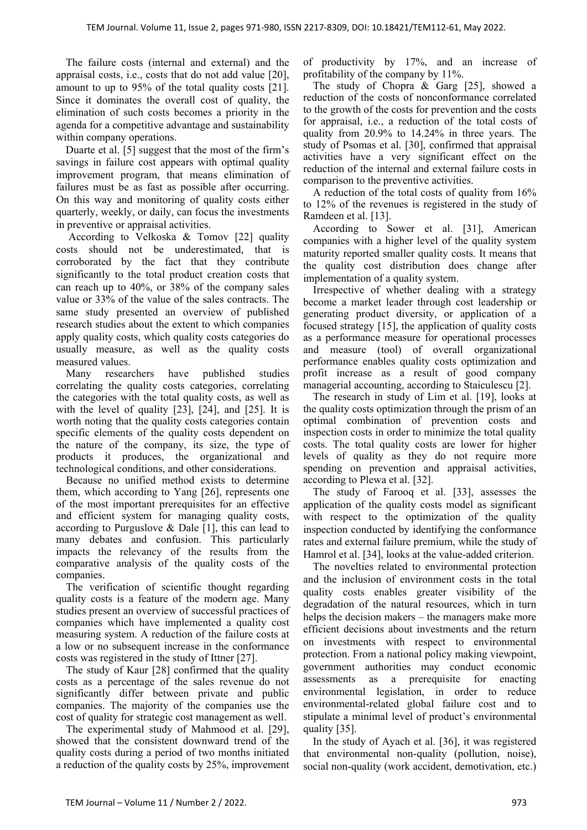The failure costs (internal and external) and the appraisal costs, i.e., costs that do not add value [20], amount to up to 95% of the total quality costs [21]. Since it dominates the overall cost of quality, the elimination of such costs becomes a priority in the agenda for a competitive advantage and sustainability within company operations.

Duarte et al. [5] suggest that the most of the firm's savings in failure cost appears with optimal quality improvement program, that means elimination of failures must be as fast as possible after occurring. On this way and monitoring of quality costs either quarterly, weekly, or daily, can focus the investments in preventive or appraisal activities.

 According to Velkoska & Tomov [22] quality costs should not be underestimated, that is corroborated by the fact that they contribute significantly to the total product creation costs that can reach up to 40%, or 38% of the company sales value or 33% of the value of the sales contracts. The same study presented an overview of published research studies about the extent to which companies apply quality costs, which quality costs categories do usually measure, as well as the quality costs measured values.

Many researchers have published studies correlating the quality costs categories, correlating the categories with the total quality costs, as well as with the level of quality  $[23]$ ,  $[24]$ , and  $[25]$ . It is worth noting that the quality costs categories contain specific elements of the quality costs dependent on the nature of the company, its size, the type of products it produces, the organizational and technological conditions, and other considerations.

Because no unified method exists to determine them, which according to Yang [26], represents one of the most important prerequisites for an effective and efficient system for managing quality costs, according to Purguslove & Dale [1], this can lead to many debates and confusion. This particularly impacts the relevancy of the results from the comparative analysis of the quality costs of the companies.

The verification of scientific thought regarding quality costs is a feature of the modern age. Many studies present an overview of successful practices of companies which have implemented a quality cost measuring system. A reduction of the failure costs at a low or no subsequent increase in the conformance costs was registered in the study of Ittner [27].

The study of Kaur [28] confirmed that the quality costs as a percentage of the sales revenue do not significantly differ between private and public companies. The majority of the companies use the cost of quality for strategic cost management as well.

The experimental study of Mahmood et al. [29], showed that the consistent downward trend of the quality costs during a period of two months initiated a reduction of the quality costs by 25%, improvement of productivity by 17%, and an increase of profitability of the company by 11%.

The study of Chopra & Garg [25], showed a reduction of the costs of nonconformance correlated to the growth of the costs for prevention and the costs for appraisal, i.e., a reduction of the total costs of quality from 20.9% to 14.24% in three years. The study of Psomas et al. [30], confirmed that appraisal activities have a very significant effect on the reduction of the internal and external failure costs in comparison to the preventive activities.

A reduction of the total costs of quality from 16% to 12% of the revenues is registered in the study of Ramdeen et al. [13].

According to Sower et al. [31], American companies with a higher level of the quality system maturity reported smaller quality costs. It means that the quality cost distribution does change after implementation of a quality system.

Irrespective of whether dealing with a strategy become a market leader through cost leadership or generating product diversity, or application of a focused strategy [15], the application of quality costs as a performance measure for operational processes and measure (tool) of overall organizational performance enables quality costs optimization and profit increase as a result of good company managerial accounting, according to Staiculescu [2].

The research in study of Lim et al. [19], looks at the quality costs optimization through the prism of an optimal combination of prevention costs and inspection costs in order to minimize the total quality costs. The total quality costs are lower for higher levels of quality as they do not require more spending on prevention and appraisal activities, according to Plewa et al. [32].

The study of Farooq et al. [33], assesses the application of the quality costs model as significant with respect to the optimization of the quality inspection conducted by identifying the conformance rates and external failure premium, while the study of Hamrol et al. [34], looks at the value-added criterion.

The novelties related to environmental protection and the inclusion of environment costs in the total quality costs enables greater visibility of the degradation of the natural resources, which in turn helps the decision makers – the managers make more efficient decisions about investments and the return on investments with respect to environmental protection. From a national policy making viewpoint, government authorities may conduct economic assessments as a prerequisite for enacting environmental legislation, in order to reduce environmental-related global failure cost and to stipulate a minimal level of product's environmental quality [35].

In the study of Ayach et al. [36], it was registered that environmental non-quality (pollution, noise), social non-quality (work accident, demotivation, etc.)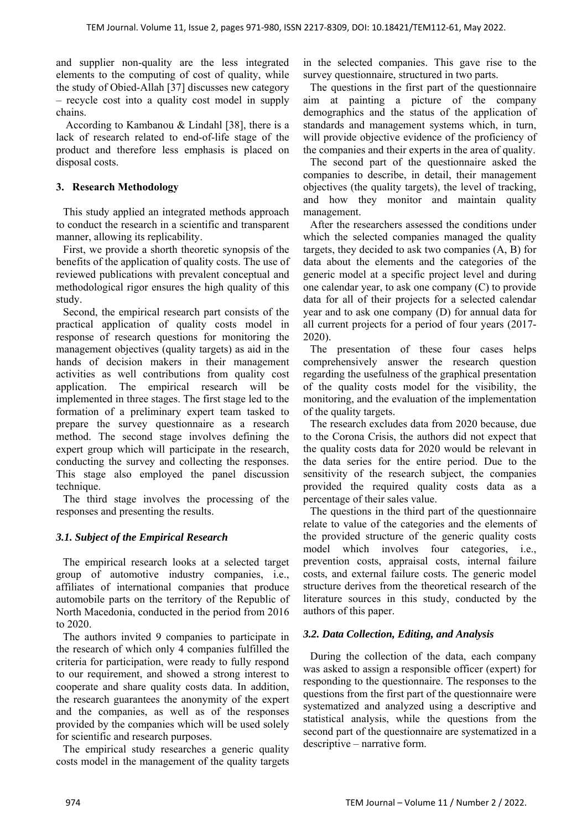and supplier non-quality are the less integrated elements to the computing of cost of quality, while the study of Obied-Allah [37] discusses new category – recycle cost into a quality cost model in supply chains.

According to Kambanou & Lindahl [38], there is a lack of research related to end-of-life stage of the product and therefore less emphasis is placed on disposal costs.

## **3. Research Methodology**

This study applied an integrated methods approach to conduct the research in a scientific and transparent manner, allowing its replicability.

First, we provide a shorth theoretic synopsis of the benefits of the application of quality costs. The use of reviewed publications with prevalent conceptual and methodological rigor ensures the high quality of this study.

Second, the empirical research part consists of the practical application of quality costs model in response of research questions for monitoring the management objectives (quality targets) as aid in the hands of decision makers in their management activities as well contributions from quality cost application. The empirical research will be implemented in three stages. The first stage led to the formation of a preliminary expert team tasked to prepare the survey questionnaire as a research method. The second stage involves defining the expert group which will participate in the research, conducting the survey and collecting the responses. This stage also employed the panel discussion technique.

The third stage involves the processing of the responses and presenting the results.

# *3.1. Subject of the Empirical Research*

The empirical research looks at a selected target group of automotive industry companies, i.e., affiliates of international companies that produce automobile parts on the territory of the Republic of North Macedonia, conducted in the period from 2016 to 2020.

The authors invited 9 companies to participate in the research of which only 4 companies fulfilled the criteria for participation, were ready to fully respond to our requirement, and showed a strong interest to cooperate and share quality costs data. In addition, the research guarantees the anonymity of the expert and the companies, as well as of the responses provided by the companies which will be used solely for scientific and research purposes.

The empirical study researches a generic quality costs model in the management of the quality targets in the selected companies. This gave rise to the survey questionnaire, structured in two parts.

The questions in the first part of the questionnaire aim at painting a picture of the company demographics and the status of the application of standards and management systems which, in turn, will provide objective evidence of the proficiency of the companies and their experts in the area of quality.

The second part of the questionnaire asked the companies to describe, in detail, their management objectives (the quality targets), the level of tracking, and how they monitor and maintain quality management.

After the researchers assessed the conditions under which the selected companies managed the quality targets, they decided to ask two companies (A, B) for data about the elements and the categories of the generic model at a specific project level and during one calendar year, to ask one company (C) to provide data for all of their projects for a selected calendar year and to ask one company (D) for annual data for all current projects for a period of four years (2017- 2020).

The presentation of these four cases helps comprehensively answer the research question regarding the usefulness of the graphical presentation of the quality costs model for the visibility, the monitoring, and the evaluation of the implementation of the quality targets.

The research excludes data from 2020 because, due to the Corona Crisis, the authors did not expect that the quality costs data for 2020 would be relevant in the data series for the entire period. Due to the sensitivity of the research subject, the companies provided the required quality costs data as a percentage of their sales value.

The questions in the third part of the questionnaire relate to value of the categories and the elements of the provided structure of the generic quality costs model which involves four categories, i.e., prevention costs, appraisal costs, internal failure costs, and external failure costs. The generic model structure derives from the theoretical research of the literature sources in this study, conducted by the authors of this paper.

# *3.2. Data Collection, Editing, and Analysis*

During the collection of the data, each company was asked to assign a responsible officer (expert) for responding to the questionnaire. The responses to the questions from the first part of the questionnaire were systematized and analyzed using a descriptive and statistical analysis, while the questions from the second part of the questionnaire are systematized in a descriptive – narrative form.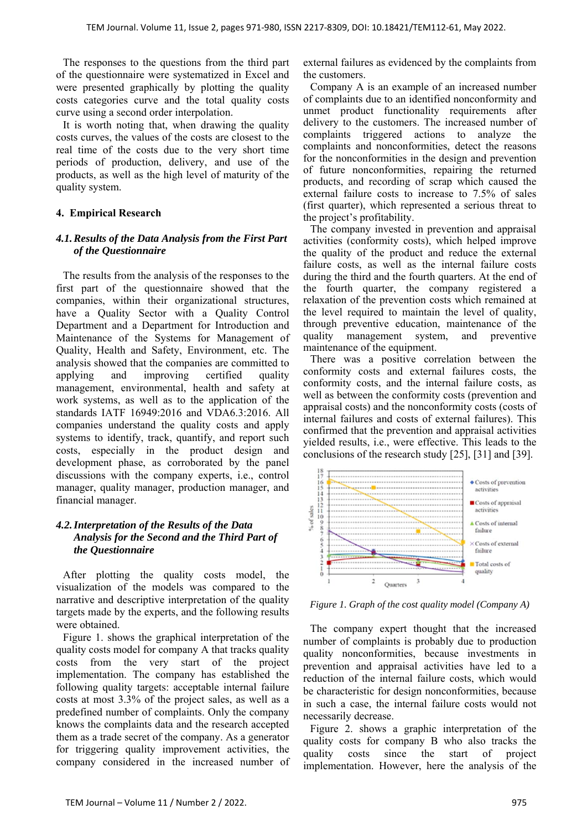The responses to the questions from the third part of the questionnaire were systematized in Excel and were presented graphically by plotting the quality costs categories curve and the total quality costs curve using a second order interpolation.

It is worth noting that, when drawing the quality costs curves, the values of the costs are closest to the real time of the costs due to the very short time periods of production, delivery, and use of the products, as well as the high level of maturity of the quality system.

## **4. Empirical Research**

### *4.1.Results of the Data Analysis from the First Part of the Questionnaire*

The results from the analysis of the responses to the first part of the questionnaire showed that the companies, within their organizational structures, have a Quality Sector with a Quality Control Department and a Department for Introduction and Maintenance of the Systems for Management of Quality, Health and Safety, Environment, etc. The analysis showed that the companies are committed to applying and improving certified quality management, environmental, health and safety at work systems, as well as to the application of the standards IATF 16949:2016 and VDA6.3:2016. All companies understand the quality costs and apply systems to identify, track, quantify, and report such costs, especially in the product design and development phase, as corroborated by the panel discussions with the company experts, i.e., control manager, quality manager, production manager, and financial manager.

## *4.2.Interpretation of the Results of the Data Analysis for the Second and the Third Part of the Questionnaire*

After plotting the quality costs model, the visualization of the models was compared to the narrative and descriptive interpretation of the quality targets made by the experts, and the following results were obtained.

Figure 1. shows the graphical interpretation of the quality costs model for company A that tracks quality costs from the very start of the project implementation. The company has established the following quality targets: acceptable internal failure costs at most 3.3% of the project sales, as well as a predefined number of complaints. Only the company knows the complaints data and the research accepted them as a trade secret of the company. As a generator for triggering quality improvement activities, the company considered in the increased number of external failures as evidenced by the complaints from the customers.

Company A is an example of an increased number of complaints due to an identified nonconformity and unmet product functionality requirements after delivery to the customers. The increased number of complaints triggered actions to analyze the complaints and nonconformities, detect the reasons for the nonconformities in the design and prevention of future nonconformities, repairing the returned products, and recording of scrap which caused the external failure costs to increase to 7.5% of sales (first quarter), which represented a serious threat to the project's profitability.

The company invested in prevention and appraisal activities (conformity costs), which helped improve the quality of the product and reduce the external failure costs, as well as the internal failure costs during the third and the fourth quarters. At the end of the fourth quarter, the company registered a relaxation of the prevention costs which remained at the level required to maintain the level of quality, through preventive education, maintenance of the quality management system, and preventive maintenance of the equipment.

There was a positive correlation between the conformity costs and external failures costs, the conformity costs, and the internal failure costs, as well as between the conformity costs (prevention and appraisal costs) and the nonconformity costs (costs of internal failures and costs of external failures). This confirmed that the prevention and appraisal activities yielded results, i.e., were effective. This leads to the conclusions of the research study [25], [31] and [39].



*Figure 1. Graph of the cost quality model (Company A)* 

The company expert thought that the increased number of complaints is probably due to production quality nonconformities, because investments in prevention and appraisal activities have led to a reduction of the internal failure costs, which would be characteristic for design nonconformities, because in such a case, the internal failure costs would not necessarily decrease.

Figure 2. shows a graphic interpretation of the quality costs for company B who also tracks the quality costs since the start of project implementation. However, here the analysis of the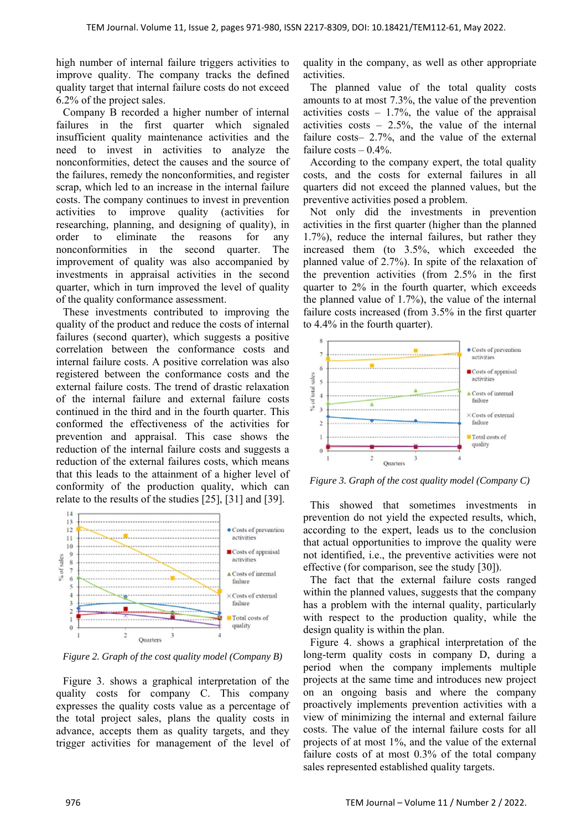high number of internal failure triggers activities to improve quality. The company tracks the defined quality target that internal failure costs do not exceed 6.2% of the project sales.

Company B recorded a higher number of internal failures in the first quarter which signaled insufficient quality maintenance activities and the need to invest in activities to analyze the nonconformities, detect the causes and the source of the failures, remedy the nonconformities, and register scrap, which led to an increase in the internal failure costs. The company continues to invest in prevention activities to improve quality (activities for researching, planning, and designing of quality), in order to eliminate the reasons for any nonconformities in the second quarter. The improvement of quality was also accompanied by investments in appraisal activities in the second quarter, which in turn improved the level of quality of the quality conformance assessment.

These investments contributed to improving the quality of the product and reduce the costs of internal failures (second quarter), which suggests a positive correlation between the conformance costs and internal failure costs. A positive correlation was also registered between the conformance costs and the external failure costs. The trend of drastic relaxation of the internal failure and external failure costs continued in the third and in the fourth quarter. This conformed the effectiveness of the activities for prevention and appraisal. This case shows the reduction of the internal failure costs and suggests a reduction of the external failures costs, which means that this leads to the attainment of a higher level of conformity of the production quality, which can relate to the results of the studies [25], [31] and [39].



*Figure 2. Graph of the cost quality model (Company B)* 

Figure 3. shows a graphical interpretation of the quality costs for company C. This company expresses the quality costs value as a percentage of the total project sales, plans the quality costs in advance, accepts them as quality targets, and they trigger activities for management of the level of quality in the company, as well as other appropriate activities.

The planned value of the total quality costs amounts to at most 7.3%, the value of the prevention activities  $costs - 1.7\%$ , the value of the appraisal activities  $costs - 2.5\%$ , the value of the internal failure costs– 2.7%, and the value of the external failure  $costs - 0.4\%$ .

According to the company expert, the total quality costs, and the costs for external failures in all quarters did not exceed the planned values, but the preventive activities posed a problem.

Not only did the investments in prevention activities in the first quarter (higher than the planned 1.7%), reduce the internal failures, but rather they increased them (to 3.5%, which exceeded the planned value of 2.7%). In spite of the relaxation of the prevention activities (from 2.5% in the first quarter to 2% in the fourth quarter, which exceeds the planned value of 1.7%), the value of the internal failure costs increased (from 3.5% in the first quarter to 4.4% in the fourth quarter).



*Figure 3. Graph of the cost quality model (Company C)* 

This showed that sometimes investments in prevention do not yield the expected results, which, according to the expert, leads us to the conclusion that actual opportunities to improve the quality were not identified, i.e., the preventive activities were not effective (for comparison, see the study [30]).

The fact that the external failure costs ranged within the planned values, suggests that the company has a problem with the internal quality, particularly with respect to the production quality, while the design quality is within the plan.

Figure 4. shows a graphical interpretation of the long-term quality costs in company D, during a period when the company implements multiple projects at the same time and introduces new project on an ongoing basis and where the company proactively implements prevention activities with a view of minimizing the internal and external failure costs. The value of the internal failure costs for all projects of at most 1%, and the value of the external failure costs of at most 0.3% of the total company sales represented established quality targets.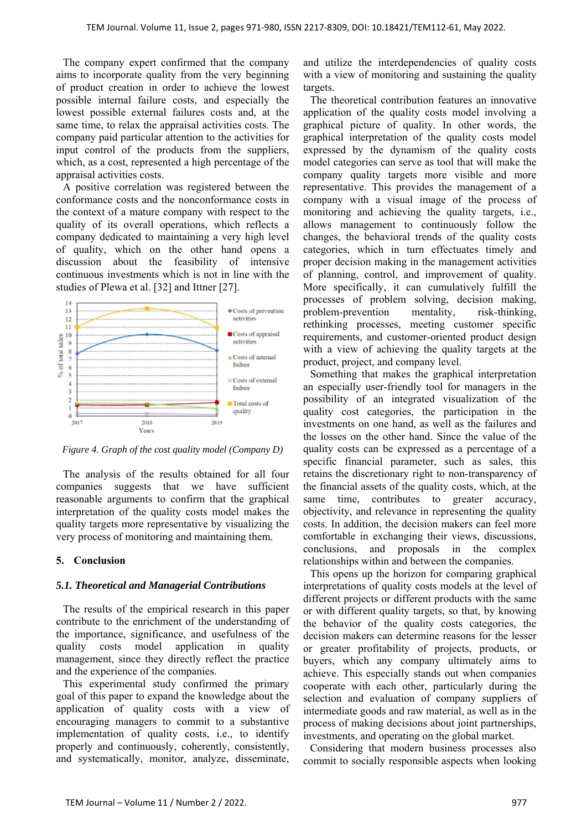The company expert confirmed that the company aims to incorporate quality from the very beginning of product creation in order to achieve the lowest possible internal failure costs, and especially the lowest possible external failures costs and, at the same time, to relax the appraisal activities costs. The company paid particular attention to the activities for input control of the products from the suppliers, which, as a cost, represented a high percentage of the appraisal activities costs.

A positive correlation was registered between the conformance costs and the nonconformance costs in the context of a mature company with respect to the quality of its overall operations, which reflects a company dedicated to maintaining a very high level of quality, which on the other hand opens a discussion about the feasibility of intensive continuous investments which is not in line with the studies of Plewa et al. [32] and Ittner [27].



*Figure 4. Graph of the cost quality model (Company D)* 

The analysis of the results obtained for all four companies suggests that we have sufficient reasonable arguments to confirm that the graphical interpretation of the quality costs model makes the quality targets more representative by visualizing the very process of monitoring and maintaining them.

## **5. Conclusion**

### *5.1. Theoretical and Managerial Contributions*

The results of the empirical research in this paper contribute to the enrichment of the understanding of the importance, significance, and usefulness of the quality costs model application in quality management, since they directly reflect the practice and the experience of the companies.

This experimental study confirmed the primary goal of this paper to expand the knowledge about the application of quality costs with a view of encouraging managers to commit to a substantive implementation of quality costs, i.e., to identify properly and continuously, coherently, consistently, and systematically, monitor, analyze, disseminate,

and utilize the interdependencies of quality costs with a view of monitoring and sustaining the quality targets.

The theoretical contribution features an innovative application of the quality costs model involving a graphical picture of quality. In other words, the graphical interpretation of the quality costs model expressed by the dynamism of the quality costs model categories can serve as tool that will make the company quality targets more visible and more representative. This provides the management of a company with a visual image of the process of monitoring and achieving the quality targets, i.e., allows management to continuously follow the changes, the behavioral trends of the quality costs categories, which in turn effectuates timely and proper decision making in the management activities of planning, control, and improvement of quality. More specifically, it can cumulatively fulfill the processes of problem solving, decision making, problem-prevention mentality, risk-thinking, rethinking processes, meeting customer specific requirements, and customer-oriented product design with a view of achieving the quality targets at the product, project, and company level.

Something that makes the graphical interpretation an especially user-friendly tool for managers in the possibility of an integrated visualization of the quality cost categories, the participation in the investments on one hand, as well as the failures and the losses on the other hand. Since the value of the quality costs can be expressed as a percentage of a specific financial parameter, such as sales, this retains the discretionary right to non-transparency of the financial assets of the quality costs, which, at the same time, contributes to greater accuracy, objectivity, and relevance in representing the quality costs. In addition, the decision makers can feel more comfortable in exchanging their views, discussions, conclusions, and proposals in the complex relationships within and between the companies.

This opens up the horizon for comparing graphical interpretations of quality costs models at the level of different projects or different products with the same or with different quality targets, so that, by knowing the behavior of the quality costs categories, the decision makers can determine reasons for the lesser or greater profitability of projects, products, or buyers, which any company ultimately aims to achieve. This especially stands out when companies cooperate with each other, particularly during the selection and evaluation of company suppliers of intermediate goods and raw material, as well as in the process of making decisions about joint partnerships, investments, and operating on the global market.

Considering that modern business processes also commit to socially responsible aspects when looking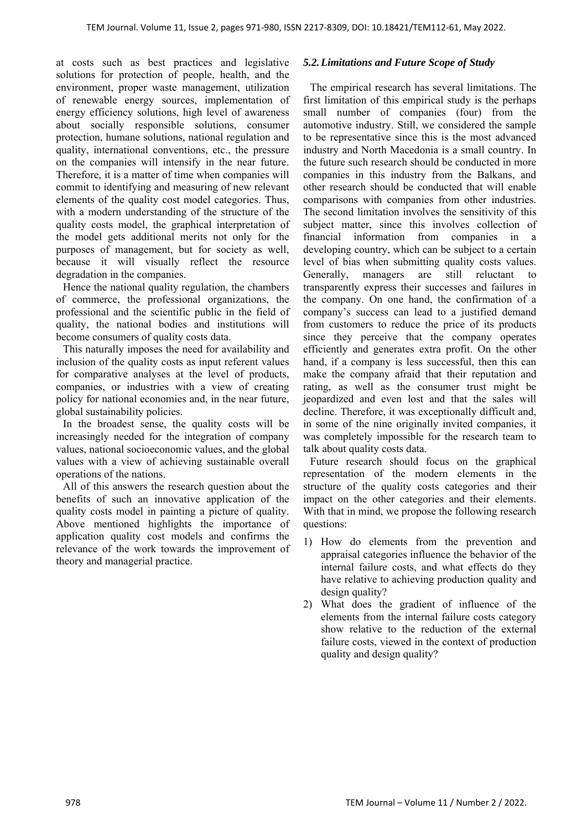at costs such as best practices and legislative solutions for protection of people, health, and the environment, proper waste management, utilization of renewable energy sources, implementation of energy efficiency solutions, high level of awareness about socially responsible solutions, consumer protection, humane solutions, national regulation and quality, international conventions, etc., the pressure on the companies will intensify in the near future. Therefore, it is a matter of time when companies will commit to identifying and measuring of new relevant elements of the quality cost model categories. Thus, with a modern understanding of the structure of the quality costs model, the graphical interpretation of the model gets additional merits not only for the purposes of management, but for society as well, because it will visually reflect the resource degradation in the companies.

Hence the national quality regulation, the chambers of commerce, the professional organizations, the professional and the scientific public in the field of quality, the national bodies and institutions will become consumers of quality costs data.

This naturally imposes the need for availability and inclusion of the quality costs as input referent values for comparative analyses at the level of products, companies, or industries with a view of creating policy for national economies and, in the near future, global sustainability policies.

In the broadest sense, the quality costs will be increasingly needed for the integration of company values, national socioeconomic values, and the global values with a view of achieving sustainable overall operations of the nations.

All of this answers the research question about the benefits of such an innovative application of the quality costs model in painting a picture of quality. Above mentioned highlights the importance of application quality cost models and confirms the relevance of the work towards the improvement of theory and managerial practice.

#### *5.2.Limitations and Future Scope of Study*

The empirical research has several limitations. The first limitation of this empirical study is the perhaps small number of companies (four) from the automotive industry. Still, we considered the sample to be representative since this is the most advanced industry and North Macedonia is a small country. In the future such research should be conducted in more companies in this industry from the Balkans, and other research should be conducted that will enable comparisons with companies from other industries. The second limitation involves the sensitivity of this subject matter, since this involves collection of financial information from companies in a developing country, which can be subject to a certain level of bias when submitting quality costs values. Generally, managers are still reluctant to transparently express their successes and failures in the company. On one hand, the confirmation of a company's success can lead to a justified demand from customers to reduce the price of its products since they perceive that the company operates efficiently and generates extra profit. On the other hand, if a company is less successful, then this can make the company afraid that their reputation and rating, as well as the consumer trust might be jeopardized and even lost and that the sales will decline. Therefore, it was exceptionally difficult and, in some of the nine originally invited companies, it was completely impossible for the research team to talk about quality costs data.

Future research should focus on the graphical representation of the modern elements in the structure of the quality costs categories and their impact on the other categories and their elements. With that in mind, we propose the following research questions:

- 1) How do elements from the prevention and appraisal categories influence the behavior of the internal failure costs, and what effects do they have relative to achieving production quality and design quality?
- 2) What does the gradient of influence of the elements from the internal failure costs category show relative to the reduction of the external failure costs, viewed in the context of production quality and design quality?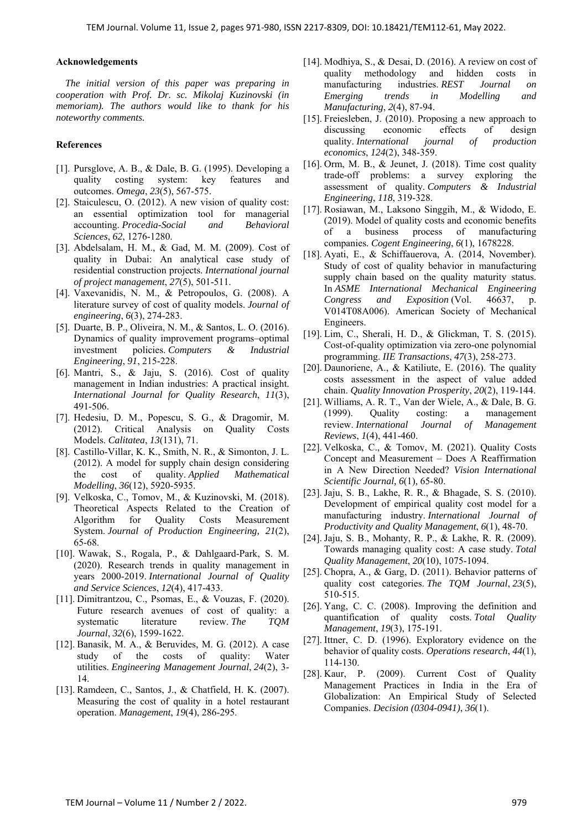#### **Acknowledgements**

*The initial version of this paper was preparing in cooperation with Prof. Dr. sc. Mikolaj Kuzinovski (in memoriam). The authors would like to thank for his noteworthy comments.* 

#### **References**

- [1]. Pursglove, A. B., & Dale, B. G. (1995). Developing a quality costing system: key features and outcomes. *Omega*, *23*(5), 567-575.
- [2]. Staiculescu, O. (2012). A new vision of quality cost: an essential optimization tool for managerial accounting. *Procedia-Social and Behavioral Sciences*, *62*, 1276-1280.
- [3]. Abdelsalam, H. M., & Gad, M. M. (2009). Cost of quality in Dubai: An analytical case study of residential construction projects. *International journal of project management*, *27*(5), 501-511.
- [4]. Vaxevanidis, N. M., & Petropoulos, G. (2008). A literature survey of cost of quality models. *Journal of engineering*, *6*(3), 274-283.
- [5]. Duarte, B. P., Oliveira, N. M., & Santos, L. O. (2016). Dynamics of quality improvement programs–optimal investment policies. *Computers & Industrial Engineering*, *91*, 215-228.
- [6]. Mantri, S., & Jaju, S. (2016). Cost of quality management in Indian industries: A practical insight. *International Journal for Quality Research*, *11*(3), 491-506.
- [7]. Hedesiu, D. M., Popescu, S. G., & Dragomir, M. (2012). Critical Analysis on Quality Costs Models. *Calitatea*, *13*(131), 71.
- [8]. Castillo-Villar, K. K., Smith, N. R., & Simonton, J. L. (2012). A model for supply chain design considering the cost of quality. *Applied Mathematical Modelling*, *36*(12), 5920-5935.
- [9]. Velkoska, C., Tomov, M., & Kuzinovski, M. (2018). Theoretical Aspects Related to the Creation of Algorithm for Quality Costs Measurement System. *Journal of Production Engineering, 21*(2), 65-68.
- [10]. Wawak, S., Rogala, P., & Dahlgaard-Park, S. M. (2020). Research trends in quality management in years 2000-2019. *International Journal of Quality and Service Sciences*, *12*(4), 417-433.
- [11]. Dimitrantzou, C., Psomas, E., & Vouzas, F. (2020). Future research avenues of cost of quality: a systematic literature review. *The TQM Journal*, *32*(6), 1599-1622.
- [12]. Banasik, M. A., & Beruvides, M. G. (2012). A case study of the costs of quality: Water utilities. *Engineering Management Journal*, *24*(2), 3- 14.
- [13]. Ramdeen, C., Santos, J., & Chatfield, H. K. (2007). Measuring the cost of quality in a hotel restaurant operation. *Management*, *19*(4), 286-295.
- [14]. Modhiya, S., & Desai, D. (2016). A review on cost of quality methodology and hidden costs in manufacturing industries. *REST Journal on Emerging trends in Modelling and Manufacturing*, *2*(4), 87-94.
- [15]. Freiesleben, J. (2010). Proposing a new approach to discussing economic effects of design quality. *International journal of production economics*, *124*(2), 348-359.
- [16]. Orm, M. B., & Jeunet, J. (2018). Time cost quality trade-off problems: a survey exploring the assessment of quality. *Computers & Industrial Engineering*, *118*, 319-328.
- [17]. Rosiawan, M., Laksono Singgih, M., & Widodo, E. (2019). Model of quality costs and economic benefits of a business process of manufacturing companies. *Cogent Engineering*, *6*(1), 1678228.
- [18]. Ayati, E., & Schiffauerova, A. (2014, November). Study of cost of quality behavior in manufacturing supply chain based on the quality maturity status. In *ASME International Mechanical Engineering Congress and Exposition* (Vol. 46637, p. V014T08A006). American Society of Mechanical Engineers.
- [19]. Lim, C., Sherali, H. D., & Glickman, T. S. (2015). Cost-of-quality optimization via zero-one polynomial programming. *IIE Transactions*, *47*(3), 258-273.
- [20]. Daunoriene, A., & Katiliute, E. (2016). The quality costs assessment in the aspect of value added chain. *Quality Innovation Prosperity*, *20*(2), 119-144.
- [21]. Williams, A. R. T., Van der Wiele, A., & Dale, B. G. (1999). Quality costing: a management review. *International Journal of Management Reviews*, *1*(4), 441-460.
- [22]. Velkoska, C., & Tomov, M. (2021). Quality Costs Concept and Measurement – Does A Reaffirmation in A New Direction Needed? *Vision International Scientific Journal, 6*(1)*,* 65-80.
- [23]. Jaju, S. B., Lakhe, R. R., & Bhagade, S. S. (2010). Development of empirical quality cost model for a manufacturing industry. *International Journal of Productivity and Quality Management*, *6*(1), 48-70.
- [24]. Jaju, S. B., Mohanty, R. P., & Lakhe, R. R. (2009). Towards managing quality cost: A case study. *Total Quality Management*, *20*(10), 1075-1094.
- [25]. Chopra, A., & Garg, D. (2011). Behavior patterns of quality cost categories. *The TQM Journal*, *23*(5), 510-515.
- [26]. Yang, C. C. (2008). Improving the definition and quantification of quality costs. *Total Quality Management*, *19*(3), 175-191.
- [27]. Ittner, C. D. (1996). Exploratory evidence on the behavior of quality costs. *Operations research*, *44*(1), 114-130.
- [28]. Kaur, P. (2009). Current Cost of Quality Management Practices in India in the Era of Globalization: An Empirical Study of Selected Companies. *Decision (0304-0941)*, *36*(1).